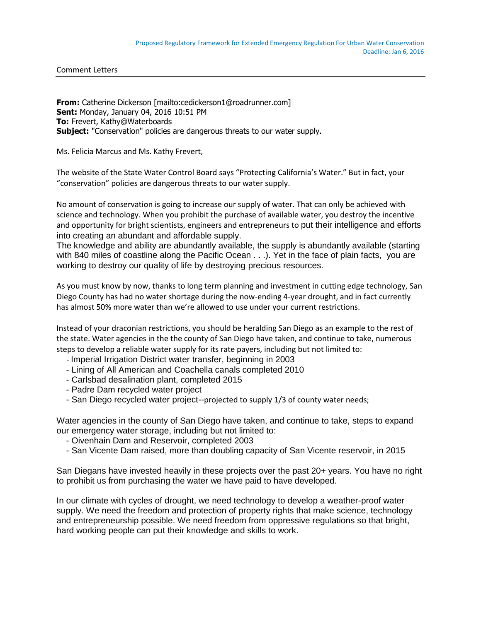Comment Letters

**From:** Catherine Dickerson [mailto:cedickerson1@roadrunner.com] **Sent:** Monday, January 04, 2016 10:51 PM **To:** Frevert, Kathy@Waterboards **Subject:** "Conservation" policies are dangerous threats to our water supply.

Ms. Felicia Marcus and Ms. Kathy Frevert,

The website of the State Water Control Board says "Protecting California's Water." But in fact, your "conservation" policies are dangerous threats to our water supply.

No amount of conservation is going to increase our supply of water. That can only be achieved with science and technology. When you prohibit the purchase of available water, you destroy the incentive and opportunity for bright scientists, engineers and entrepreneurs to put their intelligence and efforts into creating an abundant and affordable supply.

The knowledge and ability are abundantly available, the supply is abundantly available (starting with 840 miles of coastline along the Pacific Ocean . . .). Yet in the face of plain facts, you are working to destroy our quality of life by destroying precious resources.

As you must know by now, thanks to long term planning and investment in cutting edge technology, San Diego County has had no water shortage during the now-ending 4-year drought, and in fact currently has almost 50% more water than we're allowed to use under your current restrictions.

Instead of your draconian restrictions, you should be heralding San Diego as an example to the rest of the state. Water agencies in the the county of San Diego have taken, and continue to take, numerous steps to develop a reliable water supply for its rate payers, including but not limited to:

- Imperial Irrigation District water transfer, beginning in 2003
- Lining of All American and Coachella canals completed 2010
- Carlsbad desalination plant, completed 2015
- Padre Dam recycled water project
- San Diego recycled water project--projected to supply 1/3 of county water needs;

Water agencies in the county of San Diego have taken, and continue to take, steps to expand our emergency water storage, including but not limited to:

- Oivenhain Dam and Reservoir, completed 2003
- San Vicente Dam raised, more than doubling capacity of San Vicente reservoir, in 2015

San Diegans have invested heavily in these projects over the past 20+ years. You have no right to prohibit us from purchasing the water we have paid to have developed.

In our climate with cycles of drought, we need technology to develop a weather-proof water supply. We need the freedom and protection of property rights that make science, technology and entrepreneurship possible. We need freedom from oppressive regulations so that bright, hard working people can put their knowledge and skills to work.